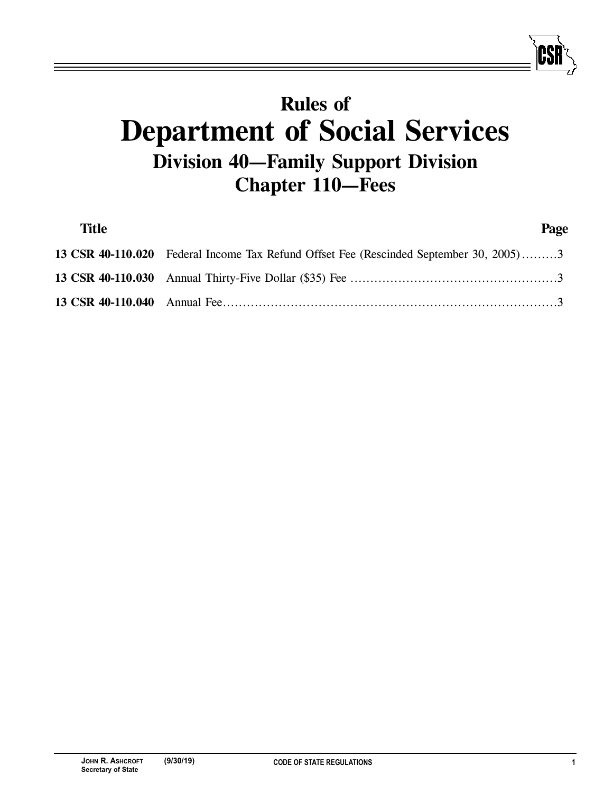# **Rules of Department of Social Services Division 40—Family Support Division Chapter 110—Fees**

| <b>Title</b> |                                                                                        | Page |
|--------------|----------------------------------------------------------------------------------------|------|
|              | 13 CSR 40-110.020 Federal Income Tax Refund Offset Fee (Rescinded September 30, 2005)3 |      |
|              |                                                                                        |      |
|              |                                                                                        |      |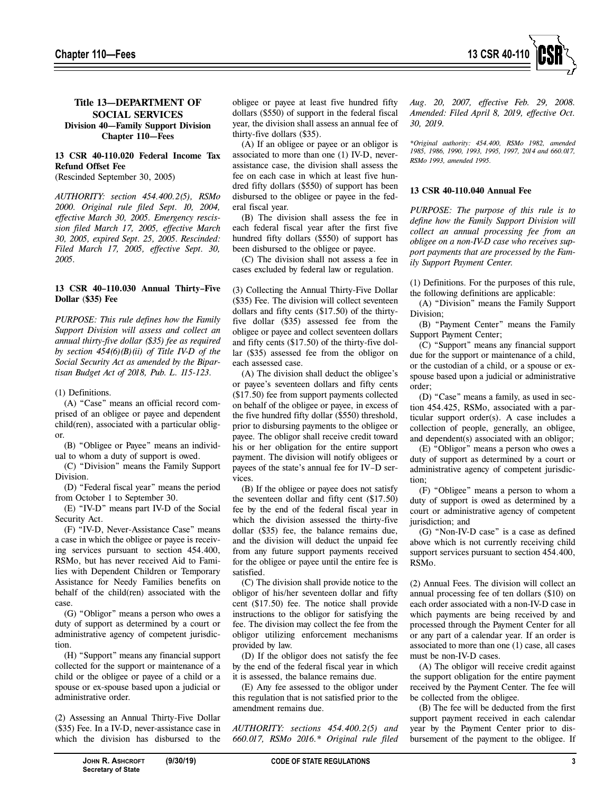## **Title 13—DEPARTMENT OF SOCIAL SERVICES Division 40—Family Support Division Chapter 110—Fees**

### **13 CSR 40-110.020 Federal Income Tax Refund Offset Fee**

(Rescinded September 30, 2005)

*AUTHORITY: section 454.400.2(5), RSMo 2000. Original rule filed Sept. 10, 2004, effective March 30, 2005. Emergency rescission filed March 17, 2005, effective March 30, 2005, expired Sept. 25, 2005. Rescinded: Filed March 17, 2005, effective Sept. 30, 2005.* 

#### **13 CSR 40–110.030 Annual Thirty–Five Dollar** (**\$35) Fee**

*PURPOSE: This rule defines how the Family Support Division will assess and collect an annual thirty-five dollar (\$35) fee as required by section 454(6)(B)(ii) of Title IV-D of the Social Security Act as amended by the Bipartisan Budget Act of 2018, Pub. L. 115-123.* 

(1) Definitions.

(A) "Case" means an official record comprised of an obligee or payee and dependent child(ren), associated with a particular obligor.

(B) "Obligee or Payee" means an individual to whom a duty of support is owed.

(C) "Division" means the Family Support Division.

(D) "Federal fiscal year" means the period from October 1 to September 30.

(E) "IV-D" means part IV-D of the Social Security Act.

(F) "IV-D, Never-Assistance Case" means a case in which the obligee or payee is receiving services pursuant to section 454.400, RSMo, but has never received Aid to Families with Dependent Children or Temporary Assistance for Needy Families benefits on behalf of the child(ren) associated with the case.

(G) "Obligor" means a person who owes a duty of support as determined by a court or administrative agency of competent jurisdiction.

(H) "Support" means any financial support collected for the support or maintenance of a child or the obligee or payee of a child or a spouse or ex-spouse based upon a judicial or administrative order.

(2) Assessing an Annual Thirty-Five Dollar (\$35) Fee. In a IV-D, never-assistance case in which the division has disbursed to the obligee or payee at least five hundred fifty dollars (\$550) of support in the federal fiscal year, the division shall assess an annual fee of thirty-five dollars (\$35).

(A) If an obligee or payee or an obligor is associated to more than one (1) IV-D, neverassistance case, the division shall assess the fee on each case in which at least five hundred fifty dollars (\$550) of support has been disbursed to the obligee or payee in the federal fiscal year.

(B) The division shall assess the fee in each federal fiscal year after the first five hundred fifty dollars (\$550) of support has been disbursed to the obligee or payee.

(C) The division shall not assess a fee in cases excluded by federal law or regulation.

(3) Collecting the Annual Thirty-Five Dollar (\$35) Fee. The division will collect seventeen dollars and fifty cents (\$17.50) of the thirtyfive dollar (\$35) assessed fee from the obligee or payee and collect seventeen dollars and fifty cents (\$17.50) of the thirty-five dollar (\$35) assessed fee from the obligor on each assessed case.

(A) The division shall deduct the obligee's or payee's seventeen dollars and fifty cents (\$17.50) fee from support payments collected on behalf of the obligee or payee, in excess of the five hundred fifty dollar (\$550) threshold, prior to disbursing payments to the obligee or payee. The obligor shall receive credit toward his or her obligation for the entire support payment. The division will notify obligees or payees of the state's annual fee for IV–D services.

(B) If the obligee or payee does not satisfy the seventeen dollar and fifty cent (\$17.50) fee by the end of the federal fiscal year in which the division assessed the thirty-five dollar (\$35) fee, the balance remains due, and the division will deduct the unpaid fee from any future support payments received for the obligee or payee until the entire fee is satisfied.

(C) The division shall provide notice to the obligor of his/her seventeen dollar and fifty cent (\$17.50) fee. The notice shall provide instructions to the obligor for satisfying the fee. The division may collect the fee from the obligor utilizing enforcement mechanisms provided by law.

(D) If the obligor does not satisfy the fee by the end of the federal fiscal year in which it is assessed, the balance remains due.

(E) Any fee assessed to the obligor under this regulation that is not satisfied prior to the amendment remains due.

*AUTHORITY: sections 454.400.2(5) and 660.017, RSMo 2016.\* Original rule filed*  *Aug. 20, 2007, effective Feb. 29, 2008. Amended: Filed April 8, 2019, effective Oct. 30, 2019.* 

*\*Original authority: 454.400, RSMo 1982, amended 1985, 1986, 1990, 1993, 1995, 1997, 2014 and 660.017, RSMo 1993, amended 1995.*

#### **13 CSR 40-110.040 Annual Fee**

*PURPOSE: The purpose of this rule is to define how the Family Support Division will collect an annual processing fee from an obligee on a non-IV-D case who receives support payments that are processed by the Family Support Payment Center.* 

(1) Definitions. For the purposes of this rule, the following definitions are applicable:

(A) "Division" means the Family Support Division;

(B) "Payment Center" means the Family Support Payment Center;

(C) "Support" means any financial support due for the support or maintenance of a child, or the custodian of a child, or a spouse or exspouse based upon a judicial or administrative order;

(D) "Case" means a family, as used in section 454.425, RSMo, associated with a particular support order(s). A case includes a collection of people, generally, an obligee, and dependent(s) associated with an obligor;

(E) "Obligor" means a person who owes a duty of support as determined by a court or administrative agency of competent jurisdiction;

(F) "Obligee" means a person to whom a duty of support is owed as determined by a court or administrative agency of competent jurisdiction; and

(G) "Non-IV-D case" is a case as defined above which is not currently receiving child support services pursuant to section 454.400, RSMo.

(2) Annual Fees. The division will collect an annual processing fee of ten dollars (\$10) on each order associated with a non-IV-D case in which payments are being received by and processed through the Payment Center for all or any part of a calendar year. If an order is associated to more than one (1) case, all cases must be non-IV-D cases.

(A) The obligor will receive credit against the support obligation for the entire payment received by the Payment Center. The fee will be collected from the obligee.

(B) The fee will be deducted from the first support payment received in each calendar year by the Payment Center prior to disbursement of the payment to the obligee. If